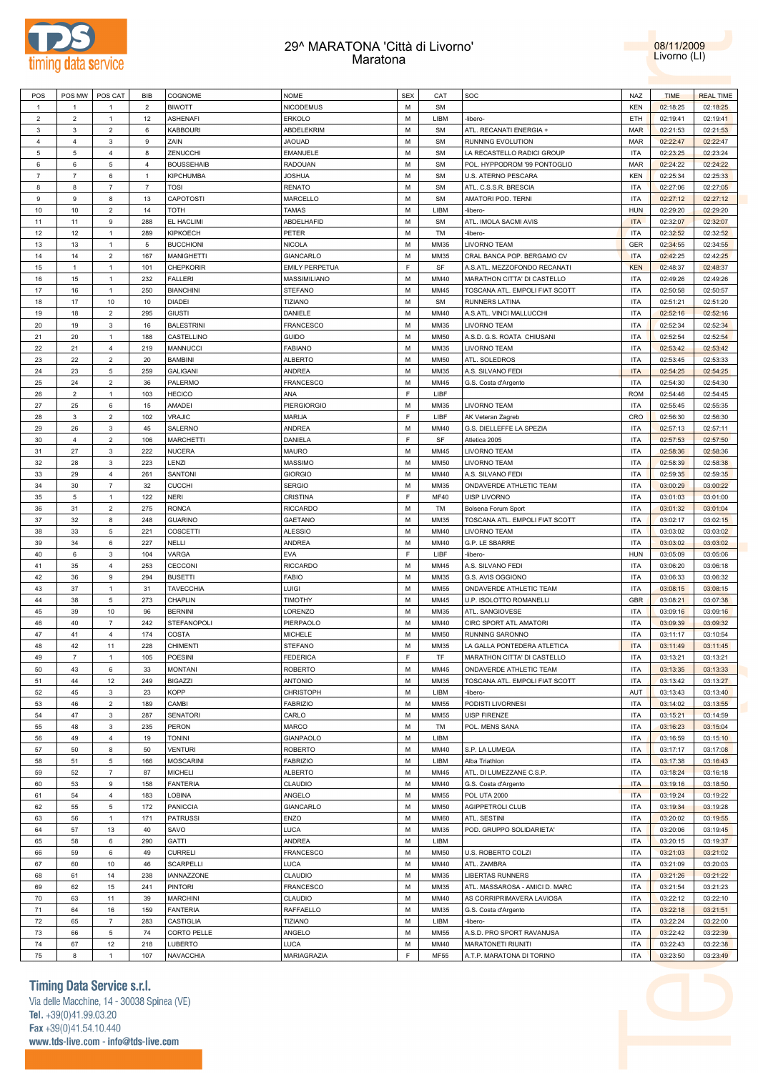

## 29^ MARATONA 'Città di Livorno' Maratona



| POS             | POS MW         | POS CAT        | BIB            | COGNOME           | <b>NOME</b>           | <b>SEX</b> | CAT         | SOC                                        | NAZ        | <b>TIME</b>          | <b>REAL TIME</b> |
|-----------------|----------------|----------------|----------------|-------------------|-----------------------|------------|-------------|--------------------------------------------|------------|----------------------|------------------|
| $\mathbf{1}$    | $\overline{1}$ | -1             | $\overline{2}$ | <b>BIWOTT</b>     | <b>NICODEMUS</b>      | М          | <b>SM</b>   |                                            | <b>KEN</b> | 02:18:25             | 02:18:25         |
| $\overline{2}$  | $\overline{2}$ | $\mathbf{1}$   | 12             | <b>ASHENAFI</b>   | ERKOLO                | М          | LIBM        | -libero-                                   | ETH        | 02:19:41             | 02:19:41         |
| 3               | 3              | $\overline{2}$ | 6              | <b>KABBOURI</b>   | ABDELEKRIM            | М          | <b>SM</b>   | ATL. RECANATI ENERGIA +                    | MAR        | 02:21:53             | 02:21:53         |
| $\overline{4}$  | 4              | 3              | 9              | ZAIN              | <b>JAOUAD</b>         | М          | <b>SM</b>   | RUNNING EVOLUTION                          | MAR        | 02:22:47             | 02:22:47         |
| $5\phantom{.0}$ | 5              | $\overline{4}$ | 8              | ZENUCCHI          | EMANUELE              | М          | <b>SM</b>   | LA RECASTELLO RADICI GROUP                 | ITA        | 02:23:25             | 02:23:24         |
| 6               | 6              | 5              | $\overline{4}$ | <b>BOUSSEHAIB</b> | RADOUAN               | М          | <b>SM</b>   | POL. HYPPODROM '99 PONTOGLIO               | MAR        | 02:24:22             | 02:24:22         |
| $\overline{7}$  | $\overline{7}$ | 6              | $\mathbf{1}$   | <b>KIPCHUMBA</b>  | <b>JOSHUA</b>         | М          | <b>SM</b>   | U.S. ATERNO PESCARA                        | <b>KEN</b> | 02:25:34             | 02:25:33         |
|                 |                | $\overline{7}$ |                |                   |                       |            |             |                                            |            |                      |                  |
| 8               | 8              |                | $\overline{7}$ | <b>TOSI</b>       | <b>RENATO</b>         | М          | <b>SM</b>   | ATL. C.S.S.R. BRESCIA                      | ITA        | 02:27:06             | 02:27:05         |
| 9               | 9              | 8              | 13             | CAPOTOSTI         | MARCELLO              | М          | <b>SM</b>   | AMATORI POD. TERNI                         | ITA        | 02:27:12             | 02:27:12         |
| 10              | 10             | $\overline{2}$ | 14             | <b>TOTH</b>       | <b>TAMAS</b>          | М          | LIBM        | -libero-                                   | <b>HUN</b> | 02:29:20             | 02:29:20         |
| 11              | 11             | 9              | 288            | EL HACLIMI        | ABDELHAFID            | М          | <b>SM</b>   | ATL. IMOLA SACMI AVIS                      | <b>ITA</b> | 02:32:07             | 02:32:07         |
| 12              | 12             | $\overline{1}$ | 289            | KIPKOECH          | PETER                 | М          | TM          | -libero-                                   | <b>ITA</b> | 02:32:52             | 02:32:52         |
| 13              | 13             | $\overline{1}$ | 5              | <b>BUCCHIONI</b>  | <b>NICOLA</b>         | М          | MM35        | LIVORNO TEAM                               | GER        | 02:34:55             | 02:34:55         |
| 14              | 14             | $\overline{2}$ | 167            | <b>MANIGHETTI</b> | GIANCARLO             | М          | MM35        | CRAL BANCA POP. BERGAMO CV                 | <b>ITA</b> | 02:42:25             | 02:42:25         |
| 15              | $\mathbf{1}$   | $\overline{1}$ | 101            | CHEPKORIR         | <b>EMILY PERPETUA</b> | F          | SF          | A.S.ATL. MEZZOFONDO RECANATI               | <b>KEN</b> | 02:48:37             | 02:48:37         |
| 16              | 15             | $\mathbf{1}$   | 232            | <b>FALLERI</b>    | MASSIMILIANO          | М          | MM40        | MARATHON CITTA' DI CASTELLO                | <b>ITA</b> | 02:49:26             | 02:49:26         |
| 17              | 16             | $\overline{1}$ | 250            | <b>BIANCHINI</b>  | <b>STEFANO</b>        | М          | MM45        | TOSCANA ATL. EMPOLI FIAT SCOTT             | <b>ITA</b> | 02:50:58             | 02:50:57         |
| 18              | 17             | 10             | 10             | <b>DIADEI</b>     | TIZIANO               | М          | <b>SM</b>   | RUNNERS LATINA                             | <b>ITA</b> | 02:51:21             | 02:51:20         |
| 19              | 18             | $\overline{2}$ | 295            | <b>GIUSTI</b>     | DANIELE               | М          | MM40        | A.S.ATL. VINCI MALLUCCHI                   | <b>ITA</b> | 02:52:16             | 02:52:16         |
| 20              | 19             | 3              | 16             | <b>BALESTRINI</b> | FRANCESCO             | М          | MM35        | LIVORNO TEAM                               | <b>ITA</b> | 02:52:34             | 02:52:34         |
| 21              | 20             | $\overline{1}$ | 188            | CASTELLINO        | <b>GUIDO</b>          | М          | <b>MM50</b> | A.S.D. G.S. ROATA CHIUSANI                 | <b>ITA</b> | 02:52:54             | 02:52:54         |
| 22              | 21             | $\overline{4}$ | 219            | MANNUCCI          | <b>FABIANO</b>        | М          | MM35        | LIVORNO TEAM                               | ITA        | 02:53:42             | 02:53:42         |
| 23              | 22             | $\overline{2}$ | 20             | <b>BAMBINI</b>    | <b>ALBERTO</b>        | М          | <b>MM50</b> | ATL. SOLEDROS                              | <b>ITA</b> | 02:53:45             | 02:53:33         |
| 24              | 23             | $\overline{5}$ | 259            | <b>GALIGANI</b>   | ANDREA                | М          | MM35        | A.S. SILVANO FEDI                          | <b>ITA</b> | 02:54:25             | 02:54:25         |
| 25              | 24             | $\overline{2}$ | 36             | PALERMO           | <b>FRANCESCO</b>      | М          | MM45        | G.S. Costa d'Argento                       | ITA        | 02:54:30             | 02:54:30         |
| 26              | $\overline{c}$ | $\overline{1}$ | 103            | <b>HECICO</b>     | ANA                   | F          | LIBF        |                                            | <b>ROM</b> | 02:54:46             | 02:54:45         |
| 27              | 25             | 6              | 15             | AMADEI            | <b>PIERGIORGIO</b>    | М          | MM35        | LIVORNO TEAM                               | ITA        | 02:55:45             | 02:55:35         |
| 28              | 3              | $\overline{2}$ | 102            | <b>VRAJIC</b>     | MARIJA                | E          | LIBF        | AK Veteran Zagreb                          | CRO        | 02:56:30             | 02:56:30         |
| 29              | 26             | 3              | 45             | SALERNO           | ANDREA                | М          | MM40        | G.S. DIELLEFFE LA SPEZIA                   | <b>ITA</b> | 02:57:13             | 02:57:11         |
| 30              | 4              | $\overline{2}$ | 106            | <b>MARCHETTI</b>  | DANIELA               | F          | SF          | Atletica 2005                              | <b>ITA</b> | 02:57:53             | 02:57:50         |
| 31              | 27             | 3              | 222            | <b>NUCERA</b>     | MAURO                 | М          | MM45        | LIVORNO TEAM                               | <b>ITA</b> | 02:58:36             | 02:58:36         |
| 32              | 28             | 3              | 223            | LENZI             | <b>MASSIMO</b>        | М          | <b>MM50</b> | LIVORNO TEAM                               | <b>ITA</b> | 02:58:39             | 02:58:38         |
| 33              | 29             | $\overline{4}$ | 261            | SANTONI           | <b>GIORGIO</b>        | М          | MM40        | A.S. SILVANO FEDI                          | <b>ITA</b> | 02:59:35             | 02:59:35         |
| 34              | 30             | $\overline{7}$ | 32             | <b>CUCCHI</b>     | <b>SERGIO</b>         | М          | MM35        | ONDAVERDE ATHLETIC TEAM                    | <b>ITA</b> | 03:00:29             | 03:00:22         |
| 35              | 5              | $\overline{1}$ | 122            | <b>NERI</b>       | CRISTINA              | F          | <b>MF40</b> | UISP LIVORNO                               | <b>ITA</b> | 03:01:03             | 03:01:00         |
| 36              | 31             | $\overline{2}$ | 275            | <b>RONCA</b>      | <b>RICCARDO</b>       | М          | TM          | Bolsena Forum Sport                        | <b>ITA</b> | 03:01:32             | 03:01:04         |
| 37              | 32             | 8              | 248            | <b>GUARINO</b>    | GAETANO               | М          | MM35        | TOSCANA ATL. EMPOLI FIAT SCOTT             | <b>ITA</b> | 03:02:17             | 03:02:15         |
| 38              | 33             | $\,$ 5 $\,$    | 221            | COSCETTI          | <b>ALESSIO</b>        | М          | MM40        | LIVORNO TEAM                               | <b>ITA</b> | 03:03:02             | 03:03:02         |
| 39              | 34             | 6              | 227            | NELLI             | ANDREA                | М          | MM40        | G.P. LE SBARRE                             | <b>ITA</b> | 03:03:02             | 03:03:02         |
| 40              | 6              | 3              | 104            | VARGA             | EVA                   | F          | LIBF        | -libero-                                   | <b>HUN</b> | 03:05:09             | 03:05:06         |
| 41              | 35             | $\overline{4}$ | 253            | CECCONI           | <b>RICCARDO</b>       | М          | MM45        | A.S. SILVANO FEDI                          | <b>ITA</b> | 03:06:20             | 03:06:18         |
| 42              | 36             | 9              | 294            | <b>BUSETTI</b>    | FABIO                 | М          | MM35        | G.S. AVIS OGGIONO                          | <b>ITA</b> | 03:06:33             | 03:06:32         |
| 43              | 37             | $\overline{1}$ | 31             | <b>TAVECCHIA</b>  | LUIGI                 | М          | <b>MM55</b> | ONDAVERDE ATHLETIC TEAM                    | <b>ITA</b> | 03:08:15             | 03:08:15         |
| 44              | 38             | $\overline{5}$ | 273            | CHAPLIN           | TIMOTHY               | М          | MM45        | U.P. ISOLOTTO ROMANELLI                    | <b>GBR</b> | 03:08:21             | 03:07:38         |
| 45              | 39             | 10             | 96             | <b>BERNINI</b>    | LORENZO               | М          | MM35        | ATL. SANGIOVESE                            | <b>ITA</b> | 03:09:16             | 03:09:16         |
| 46              | 40             | $\overline{7}$ | 242            | STEFANOPOLI       | PIERPAOLO             | М          | MM40        | CIRC SPORT ATL AMATORI                     | <b>ITA</b> | 03:09:39             | 03:09:32         |
| 47              | 41             | 4              | 174            | COSTA             | <b>MICHELE</b>        | М          | <b>MM50</b> | RUNNING SARONNO                            | <b>ITA</b> | 03:11:17             | 03:10:54         |
| 48              | 42             | 11             | 228            | <b>CHIMENTI</b>   | STEFANO               | М          | MM35        | LA GALLA PONTEDERA ATLETICA                | <b>ITA</b> | 03:11:49             | 03:11:45         |
| 49              | $\overline{7}$ | $\overline{1}$ | 105            | POESINI           | <b>FEDERICA</b>       | E          | <b>TF</b>   | MARATHON CITTA' DI CASTELLO                | <b>ITA</b> | 03:13:21             | 03:13:21         |
| 50              | 43             | 6              | 33             | <b>MONTANI</b>    | <b>ROBERTO</b>        | М          | MM45        | ONDAVERDE ATHLETIC TEAM                    | <b>ITA</b> | 03:13:35             | 03:13:33         |
| 51              | 44             | 12             | 249            | <b>BIGAZZI</b>    | <b>ANTONIO</b>        | M          | MM35        | TOSCANA ATL. EMPOLI FIAT SCOTT             | <b>ITA</b> | 03:13:42             | 03:13:27         |
| 52              | 45             | $\mathbf{3}$   | 23             | <b>KOPP</b>       | CHRISTOPH             | M          | LIBM        | -libero-                                   | AUT        | 03:13:43             | 03:13:40         |
| 53              | 46             | $\overline{2}$ | 189            | CAMBI             | <b>FABRIZIO</b>       | М          | MM55        | PODISTI LIVORNESI                          | <b>ITA</b> | 03:14:02             | 03:13:55         |
| 54              | 47             | $\mathbf{3}$   | 287            | <b>SENATORI</b>   | CARLO                 | M          | <b>MM55</b> | <b>UISP FIRENZE</b>                        | <b>ITA</b> | 03:15:21             | 03:14:59         |
| 55              | 48             | 3              | 235            | PERON             | <b>MARCO</b>          | М          | TM          | POL. MENS SANA                             | <b>ITA</b> | 03:16:23             | 03:15:04         |
| 56              | 49             | $\overline{4}$ | 19             | <b>TONINI</b>     | GIANPAOLO             | M          | LIBM        |                                            | <b>ITA</b> | 03:16:59             | 03:15:10         |
| 57              | 50             | 8              | 50             | <b>VENTURI</b>    | <b>ROBERTO</b>        | М          | MM40        | S.P. LA LUMEGA                             | <b>ITA</b> | 03:17:17             | 03:17:08         |
| 58              |                | $\sqrt{5}$     | 166            | <b>MOSCARINI</b>  | <b>FABRIZIO</b>       | M          | LIBM        |                                            | <b>ITA</b> |                      | 03:16:43         |
| 59              | 51<br>52       | $\overline{7}$ | 87             | <b>MICHELI</b>    | <b>ALBERTO</b>        | М          | MM45        | Alba Triathlon<br>ATL. DI LUMEZZANE C.S.P. | <b>ITA</b> | 03:17:38<br>03:18:24 | 03:16:18         |
|                 | 53             | 9              | 158            | <b>FANTERIA</b>   | CLAUDIO               | М          | MM40        |                                            | <b>ITA</b> |                      | 03:18:50         |
| 60              |                |                |                |                   |                       |            |             | G.S. Costa d'Argento                       |            | 03:19:16             |                  |
| 61              | 54             | $\overline{4}$ | 183            | LOBINA            | ANGELO<br>GIANCARLO   | М          | MM55        | <b>POL UTA 2000</b>                        | <b>ITA</b> | 03:19:24             | 03:19:22         |
| 62              | 55             | $\sqrt{5}$     | 172            | PANICCIA          |                       | М          | <b>MM50</b> | AGIPPETROLI CLUB                           | <b>ITA</b> | 03:19:34             | 03:19:28         |
| 63              | 56             | $\mathbf{1}$   | 171            | <b>PATRUSSI</b>   | ENZO                  | M          | <b>MM60</b> | ATL. SESTINI                               | <b>ITA</b> | 03:20:02             | 03:19:55         |
| 64              | 57             | 13             | 40             | SAVO              | LUCA                  | M          | MM35        | POD. GRUPPO SOLIDARIETA'                   | <b>ITA</b> | 03:20:06             | 03:19:45         |
| 65              | 58             | 6              | 290            | <b>GATTI</b>      | <b>ANDREA</b>         | М          | LIBM        |                                            | <b>ITA</b> | 03:20:15             | 03:19:37         |
| 66              | 59             | 6              | 49             | <b>CURRELI</b>    | <b>FRANCESCO</b>      | M          | <b>MM50</b> | U.S. ROBERTO COLZI                         | <b>ITA</b> | 03:21:03             | 03:21:02         |
| 67              | 60             | 10             | 46             | SCARPELLI         | LUCA                  | M          | MM40        | ATL. ZAMBRA                                | <b>ITA</b> | 03:21:09             | 03:20:03         |
| 68              | 61             | 14             | 238            | IANNAZZONE        | CLAUDIO               | M          | MM35        | <b>LIBERTAS RUNNERS</b>                    | <b>ITA</b> | 03:21:26             | 03:21:22         |
| 69              | 62             | 15             | 241            | <b>PINTORI</b>    | <b>FRANCESCO</b>      | М          | MM35        | ATL. MASSAROSA - AMICI D. MARC             | <b>ITA</b> | 03:21:54             | 03:21:23         |
| 70              | 63             | 11             | 39             | <b>MARCHINI</b>   | CLAUDIO               | M          | MM40        | AS CORRIPRIMAVERA LAVIOSA                  | <b>ITA</b> | 03:22:12             | 03:22:10         |
| 71              | 64             | 16             | 159            | <b>FANTERIA</b>   | RAFFAELLO             | М          | MM35        | G.S. Costa d'Argento                       | <b>ITA</b> | 03:22:18             | 03:21:51         |
| 72              | 65             | $\overline{7}$ | 283            | CASTIGLIA         | <b>TIZIANO</b>        | M          | LIBM        | -libero-                                   | <b>ITA</b> | 03:22:24             | 03:22:00         |
| 73              | 66             | $\overline{5}$ | 74             | CORTO PELLE       | ANGELO                | М          | <b>MM55</b> | A.S.D. PRO SPORT RAVANUSA                  | <b>ITA</b> | 03:22:42             | 03:22:39         |
| 74              | 67             | 12             | 218            | LUBERTO           | LUCA                  | М          | MM40        | MARATONETI RIUNITI                         | <b>ITA</b> | 03:22:43             | 03:22:38         |
| 75              | 8              | $\mathbf{1}$   | 107            | NAVACCHIA         | MARIAGRAZIA           | F          | <b>MF55</b> | A.T.P. MARATONA DI TORINO                  | <b>ITA</b> | 03:23:50             | 03:23:49         |

**Timing Data Service s.r.l.** 

Via delle Macchine, 14 - 30038 Spinea (VE) Tel. +39(0)41.99.03.20 Fax +39(0)41.54.10.440 www.tds-live.com - info@tds-live.com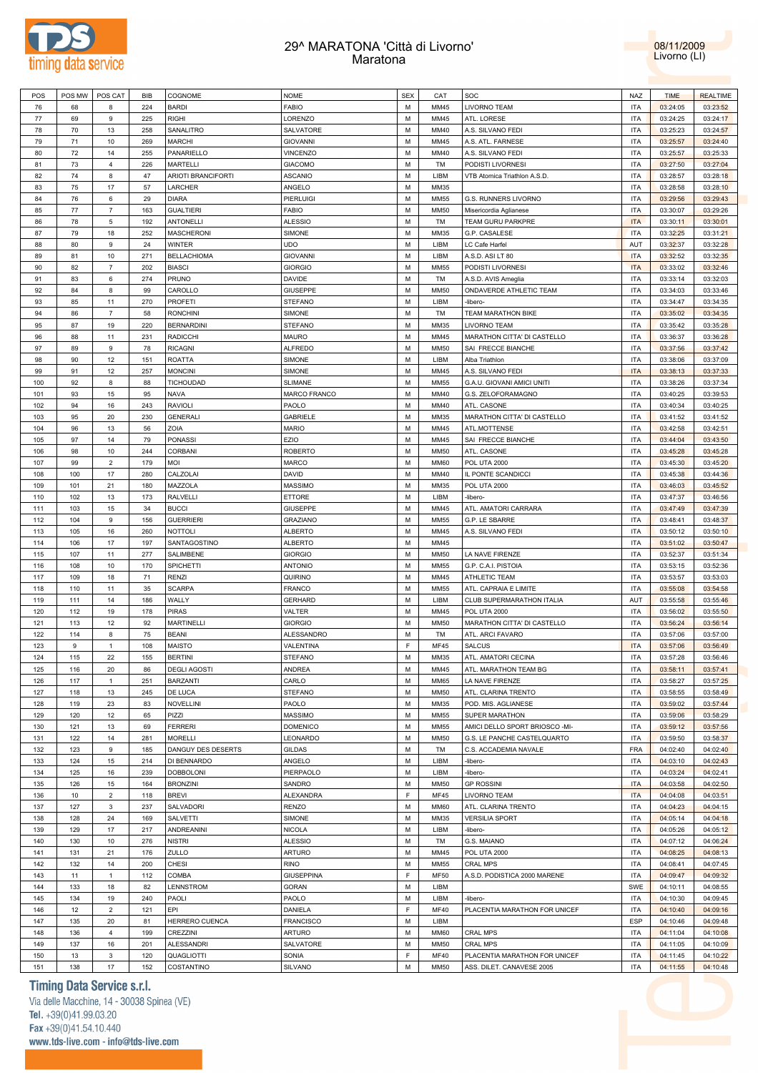

## 29^ MARATONA 'Città di Livorno' Maratona



| POS     | POS MW | POS CAT                   | BIB | COGNOME                   | <b>NOME</b>       | <b>SEX</b> | CAT         | SOC                            | NAZ        | <b>TIME</b> | <b>REALTIME</b> |
|---------|--------|---------------------------|-----|---------------------------|-------------------|------------|-------------|--------------------------------|------------|-------------|-----------------|
| 76      | 68     | 8                         | 224 | <b>BARDI</b>              | <b>FABIO</b>      | M          | MM45        | LIVORNO TEAM                   | <b>ITA</b> | 03:24:05    | 03:23:52        |
| $77 \,$ | 69     | 9                         | 225 | <b>RIGHI</b>              | LORENZO           | M          | MM45        | ATL. LORESE                    | <b>ITA</b> | 03:24:25    | 03:24:17        |
| 78      | 70     | 13                        | 258 | SANALITRO                 | SALVATORE         | M          | MM40        | A.S. SILVANO FEDI              | <b>ITA</b> | 03:25:23    | 03:24:57        |
| 79      | 71     | 10                        | 269 | <b>MARCHI</b>             | <b>GIOVANNI</b>   | M          | MM45        | A.S. ATL. FARNESE              | <b>ITA</b> | 03:25:57    | 03:24:40        |
| 80      | 72     | 14                        | 255 | PANARIELLO                | <b>VINCENZO</b>   | M          | MM40        | A.S. SILVANO FEDI              | <b>ITA</b> | 03:25:57    | 03:25:33        |
|         |        |                           |     |                           |                   |            |             |                                |            |             |                 |
| 81      | 73     | $\overline{4}$            | 226 | MARTELLI                  | <b>GIACOMO</b>    | M          | TM          | PODISTI LIVORNESI              | <b>ITA</b> | 03:27:50    | 03:27:04        |
| 82      | 74     | 8                         | 47  | <b>ARIOTI BRANCIFORTI</b> | ASCANIO           | M          | LIBM        | VTB Atomica Triathlon A.S.D.   | <b>ITA</b> | 03:28:57    | 03:28:18        |
| 83      | 75     | 17                        | 57  | LARCHER                   | ANGELO            | M          | MM35        |                                | <b>ITA</b> | 03:28:58    | 03:28:10        |
| 84      | 76     | 6                         | 29  | <b>DIARA</b>              | PIERLUIGI         | M          | <b>MM55</b> | G.S. RUNNERS LIVORNO           | <b>ITA</b> | 03:29:56    | 03:29:43        |
| 85      | 77     | $\overline{7}$            | 163 | <b>GUALTIERI</b>          | <b>FABIO</b>      | M          | MM50        | Misericordia Aglianese         | <b>ITA</b> | 03:30:07    | 03:29:26        |
| 86      | 78     | 5                         | 192 | <b>ANTONELLI</b>          | ALESSIO           | M          | TM          | TEAM GURU PARKPRE              | <b>ITA</b> | 03:30:11    | 03:30:01        |
| 87      | 79     | 18                        | 252 | <b>MASCHERONI</b>         | SIMONE            | M          | MM35        | G.P. CASALESE                  | <b>ITA</b> | 03:32:25    | 03:31:21        |
| 88      | 80     | 9                         | 24  | <b>WINTER</b>             | <b>UDO</b>        | M          | LIBM        | LC Cafe Harfel                 | AUT        | 03:32:37    | 03:32:28        |
| 89      | 81     | $10$                      | 271 | <b>BELLACHIOMA</b>        | <b>GIOVANNI</b>   | M          | LIBM        | A.S.D. ASILT 80                | <b>ITA</b> | 03:32:52    | 03:32:35        |
|         |        | $\overline{7}$            |     |                           |                   | M          |             |                                | <b>ITA</b> |             |                 |
| 90      | 82     |                           | 202 | <b>BIASCI</b>             | <b>GIORGIO</b>    |            | MM55        | PODISTI LIVORNESI              |            | 03:33:02    | 03:32:46        |
| 91      | 83     | 6                         | 274 | PRUNO                     | DAVIDE            | M          | TM          | A.S.D. AVIS Ameglia            | <b>ITA</b> | 03:33:14    | 03:32:03        |
| 92      | 84     | 8                         | 99  | CAROLLO                   | GIUSEPPE          | M          | <b>MM50</b> | ONDAVERDE ATHLETIC TEAM        | <b>ITA</b> | 03:34:03    | 03:33:46        |
| 93      | 85     | 11                        | 270 | <b>PROFETI</b>            | STEFANO           | M          | LIBM        | -libero-                       | <b>ITA</b> | 03:34:47    | 03:34:35        |
| 94      | 86     | $\overline{7}$            | 58  | <b>RONCHINI</b>           | SIMONE            | M          | TM          | <b>TEAM MARATHON BIKE</b>      | <b>ITA</b> | 03:35:02    | 03:34:35        |
| 95      | 87     | 19                        | 220 | <b>BERNARDINI</b>         | <b>STEFANO</b>    | M          | MM35        | <b>LIVORNO TEAM</b>            | <b>ITA</b> | 03:35:42    | 03:35:28        |
| 96      | 88     | 11                        | 231 | <b>RADICCHI</b>           | MAURO             | M          | MM45        | MARATHON CITTA' DI CASTELLO    | <b>ITA</b> | 03:36:37    | 03:36:28        |
| 97      | 89     | 9                         | 78  | <b>RICAGNI</b>            | <b>ALFREDO</b>    | M          | MM50        | SAI FRECCE BIANCHE             | <b>ITA</b> | 03:37:56    | 03:37:42        |
| 98      | 90     | 12                        | 151 | <b>ROATTA</b>             | SIMONE            | M          | LIBM        | Alba Triathlon                 | <b>ITA</b> | 03:38:06    | 03:37:09        |
| 99      | 91     | 12                        | 257 | <b>MONCINI</b>            | SIMONE            | M          | MM45        | A.S. SILVANO FEDI              | <b>ITA</b> | 03:38:13    | 03:37:33        |
|         |        |                           |     |                           |                   |            |             |                                |            |             |                 |
| 100     | 92     | 8                         | 88  | <b>TICHOUDAD</b>          | <b>SLIMANE</b>    | M          | <b>MM55</b> | G.A.U. GIOVANI AMICI UNITI     | <b>ITA</b> | 03:38:26    | 03:37:34        |
| 101     | 93     | 15                        | 95  | <b>NAVA</b>               | MARCO FRANCO      | M          | MM40        | G.S. ZELOFORAMAGNO             | <b>ITA</b> | 03:40:25    | 03:39:53        |
| 102     | 94     | 16                        | 243 | <b>RAVIOLI</b>            | PAOLO             | M          | MM40        | ATL. CASONE                    | <b>ITA</b> | 03:40:34    | 03:40:25        |
| 103     | 95     | 20                        | 230 | <b>GENERALI</b>           | GABRIELE          | M          | MM35        | MARATHON CITTA' DI CASTELLO    | <b>ITA</b> | 03:41:52    | 03:41:52        |
| 104     | 96     | 13                        | 56  | ZOIA                      | <b>MARIO</b>      | M          | MM45        | ATL.MOTTENSE                   | <b>ITA</b> | 03:42:58    | 03:42:51        |
| 105     | 97     | 14                        | 79  | <b>PONASSI</b>            | EZIO              | M          | MM45        | SAI FRECCE BIANCHE             | <b>ITA</b> | 03:44:04    | 03:43:50        |
| 106     | 98     | 10                        | 244 | CORBANI                   | ROBERTO           | M          | MM50        | ATL. CASONE                    | <b>ITA</b> | 03:45:28    | 03:45:28        |
| 107     | 99     | $\sqrt{2}$                | 179 | <b>MOI</b>                | MARCO             | M          | <b>MM60</b> | <b>POL UTA 2000</b>            | <b>ITA</b> | 03:45:30    | 03:45:20        |
| 108     | 100    | 17                        | 280 | CALZOLAI                  | DAVID             | M          | MM40        | IL PONTE SCANDICCI             | <b>ITA</b> | 03:45:38    | 03:44:36        |
| 109     | 101    | 21                        | 180 | MAZZOLA                   | MASSIMO           | M          | MM35        |                                | <b>ITA</b> |             |                 |
|         |        |                           |     |                           |                   |            |             | <b>POL UTA 2000</b>            |            | 03:46:03    | 03:45:52        |
| 110     | 102    | 13                        | 173 | <b>RALVELLI</b>           | ETTORE            | M          | LIBM        | -libero-                       | <b>ITA</b> | 03:47:37    | 03:46:56        |
| 111     | 103    | 15                        | 34  | <b>BUCCI</b>              | GIUSEPPE          | M          | MM45        | ATL. AMATORI CARRARA           | <b>ITA</b> | 03:47:49    | 03:47:39        |
| 112     | 104    | 9                         | 156 | <b>GUERRIERI</b>          | <b>GRAZIANO</b>   | M          | <b>MM55</b> | G.P. LE SBARRE                 | <b>ITA</b> | 03:48:41    | 03:48:37        |
| 113     | 105    | 16                        | 260 | <b>NOTTOLI</b>            | <b>ALBERTO</b>    | M          | MM45        | A.S. SILVANO FEDI              | <b>ITA</b> | 03:50:12    | 03:50:10        |
| 114     | 106    | 17                        | 197 | SANTAGOSTINO              | <b>ALBERTO</b>    | M          | MM45        |                                | <b>ITA</b> | 03:51:02    | 03:50:47        |
| 115     | 107    | 11                        | 277 | SALIMBENE                 | <b>GIORGIO</b>    | M          | MM50        | LA NAVE FIRENZE                | <b>ITA</b> | 03:52:37    | 03:51:34        |
| 116     | 108    | 10                        | 170 | SPICHETTI                 | <b>ANTONIO</b>    | M          | <b>MM55</b> | G.P. C.A.I. PISTOIA            | <b>ITA</b> | 03:53:15    | 03:52:36        |
| 117     | 109    | 18                        | 71  | <b>RENZI</b>              | QUIRINO           | M          | MM45        | ATHLETIC TEAM                  | <b>ITA</b> | 03:53:57    | 03:53:03        |
| 118     | 110    | 11                        | 35  | <b>SCARPA</b>             | FRANCO            | M          | <b>MM55</b> | ATL. CAPRAIA E LIMITE          | <b>ITA</b> | 03:55:08    | 03:54:58        |
|         |        |                           |     |                           |                   | M          |             | CLUB SUPERMARATHON ITALIA      | AUT        |             |                 |
| 119     | 111    | 14                        | 186 | WALLY                     | <b>GERHARD</b>    |            | LIBM        |                                |            | 03:55:58    | 03:55:46        |
| 120     | 112    | 19                        | 178 | <b>PIRAS</b>              | VALTER            | M          | MM45        | <b>POL UTA 2000</b>            | <b>ITA</b> | 03:56:02    | 03:55:50        |
| 121     | 113    | 12                        | 92  | <b>MARTINELLI</b>         | <b>GIORGIO</b>    | M          | MM50        | MARATHON CITTA' DI CASTELLO    | <b>ITA</b> | 03:56:24    | 03:56:14        |
| 122     | 114    | 8                         | 75  | <b>BEANI</b>              | ALESSANDRO        | M          | TM          | ATL. ARCI FAVARO               | <b>ITA</b> | 03:57:06    | 03:57:00        |
| 123     | 9      | $\mathbf{1}$              | 108 | <b>MAISTO</b>             | VALENTINA         | F          | <b>MF45</b> | <b>SALCUS</b>                  | <b>ITA</b> | 03:57:06    | 03:56:49        |
| 124     | 115    | 22                        | 155 | <b>BERTINI</b>            | <b>STEFANO</b>    | M          | MM35        | ATL. AMATORI CECINA            | <b>ITA</b> | 03:57:28    | 03:56:46        |
| 125     | 116    | 20                        | 86  | <b>DEGLI AGOSTI</b>       | ANDREA            | M          | MM45        | ATL. MARATHON TEAM BG          | <b>ITA</b> | 03:58:11    | 03:57:41        |
| 126     | 117    | $\mathbf{1}$              | 251 | <b>BARZANTI</b>           | CARLO             | M          | <b>MM65</b> | LA NAVE FIRENZE                | <b>ITA</b> | 03:58:27    | 03:57:25        |
| 127     | 118    | 13                        | 245 | DE LUCA                   | STEFANO           | M          | MM50        | ATL. CLARINA TRENTO            | <b>ITA</b> | 03:58:55    | 03:58:49        |
| 128     | 119    | 23                        | 83  | <b>NOVELLINI</b>          | PAOLO             | M          | MM35        | POD. MIS. AGLIANESE            | <b>ITA</b> | 03:59:02    | 03:57:44        |
|         |        |                           |     | PIZZI                     |                   |            |             |                                |            |             |                 |
| 129     | 120    | 12                        | 65  |                           | MASSIMO           | M          | <b>MM55</b> | SUPER MARATHON                 | <b>ITA</b> | 03:59:06    | 03:58:29        |
| 130     | 121    | 13                        | 69  | <b>FERRERI</b>            | <b>DOMENICO</b>   | M          | <b>MM55</b> | AMICI DELLO SPORT BRIOSCO -MI- | <b>ITA</b> | 03:59:12    | 03:57:56        |
| 131     | 122    | 14                        | 281 | <b>MORELLI</b>            | LEONARDO          | M          | MM50        | G.S. LE PANCHE CASTELQUARTO    | <b>ITA</b> | 03:59:50    | 03:58:37        |
| 132     | 123    | 9                         | 185 | DANGUY DES DESERTS        | GILDAS            | M          | TM          | C.S. ACCADEMIA NAVALE          | <b>FRA</b> | 04:02:40    | 04:02:40        |
| 133     | 124    | 15                        | 214 | DI BENNARDO               | ANGELO            | M          | LIBM        | -libero-                       | <b>ITA</b> | 04:03:10    | 04:02:43        |
| 134     | 125    | 16                        | 239 | <b>DOBBOLONI</b>          | PIERPAOLO         | M          | LIBM        | -libero-                       | <b>ITA</b> | 04:03:24    | 04:02:41        |
| 135     | 126    | 15                        | 164 | <b>BRONZINI</b>           | SANDRO            | M          | <b>MM50</b> | <b>GP ROSSINI</b>              | <b>ITA</b> | 04:03:58    | 04:02:50        |
| 136     | 10     | $\mathbf 2$               | 118 | <b>BREVI</b>              | <b>ALEXANDRA</b>  | F          | <b>MF45</b> | LIVORNO TEAM                   | <b>ITA</b> | 04:04:08    | 04:03:51        |
| 137     | 127    | $\ensuremath{\mathsf{3}}$ | 237 | SALVADORI                 | RENZO             | M          | <b>MM60</b> | ATL. CLARINA TRENTO            | <b>ITA</b> | 04:04:23    | 04:04:15        |
| 138     | 128    | 24                        | 169 | SALVETTI                  | SIMONE            | M          | MM35        | <b>VERSILIA SPORT</b>          | <b>ITA</b> | 04:05:14    | 04:04:18        |
|         |        |                           |     |                           |                   |            |             |                                |            |             |                 |
| 139     | 129    | $17\,$                    | 217 | <b>ANDREANINI</b>         | NICOLA            | M          | LIBM        | -libero-                       | <b>ITA</b> | 04:05:26    | 04:05:12        |
| 140     | 130    | $10$                      | 276 | <b>NISTRI</b>             | <b>ALESSIO</b>    | M          | TM          | G.S. MAIANO                    | <b>ITA</b> | 04:07:12    | 04:06:24        |
| 141     | 131    | 21                        | 176 | ZULLO                     | ARTURO            | M          | MM45        | <b>POL UTA 2000</b>            | <b>ITA</b> | 04:08:25    | 04:08:13        |
| 142     | 132    | 14                        | 200 | CHESI                     | <b>RINO</b>       | M          | <b>MM55</b> | <b>CRAL MPS</b>                | <b>ITA</b> | 04:08:41    | 04:07:45        |
| 143     | 11     | $\mathbf{1}$              | 112 | COMBA                     | <b>GIUSEPPINA</b> | F          | MF50        | A.S.D. PODISTICA 2000 MARENE   | <b>ITA</b> | 04:09:47    | 04:09:32        |
| 144     | 133    | 18                        | 82  | LENNSTROM                 | <b>GORAN</b>      | M          | LIBM        |                                | SWE        | 04:10:11    | 04:08:55        |
| 145     | 134    | 19                        | 240 | PAOLI                     | PAOLO             | M          | LIBM        | -libero-                       | <b>ITA</b> | 04:10:30    | 04:09:45        |
| 146     | 12     | $\sqrt{2}$                | 121 | EPI                       | DANIELA           | F          | <b>MF40</b> | PLACENTIA MARATHON FOR UNICEF  | <b>ITA</b> | 04:10:40    | 04:09:16        |
|         |        |                           |     |                           |                   |            |             |                                |            |             |                 |
| 147     | 135    | 20                        | 81  | HERRERO CUENCA            | <b>FRANCISCO</b>  | M          | LIBM        |                                | ESP        | 04:10:46    | 04:09:48        |
| 148     | 136    | $\overline{4}$            | 199 | CREZZINI                  | <b>ARTURO</b>     | M          | <b>MM60</b> | CRAL MPS                       | <b>ITA</b> | 04:11:04    | 04:10:08        |
| 149     | 137    | 16                        | 201 | ALESSANDRI                | SALVATORE         | M          | MM50        | <b>CRAL MPS</b>                | <b>ITA</b> | 04:11:05    | 04:10:09        |
| 150     | 13     | $\ensuremath{\mathsf{3}}$ | 120 | QUAGLIOTTI                | SONIA             | F          | MF40        | PLACENTIA MARATHON FOR UNICEF  | <b>ITA</b> | 04:11:45    | 04:10:22        |
| 151     | 138    | 17                        | 152 | COSTANTINO                | SILVANO           | М          | <b>MM50</b> | ASS. DILET. CANAVESE 2005      | <b>ITA</b> | 04:11:55    | 04:10:48        |
|         |        |                           |     |                           |                   |            |             |                                |            |             |                 |

## **Timing Data Service s.r.l.**

Via delle Macchine, 14 - 30038 Spinea (VE) Tel. +39(0)41.99.03.20 Fax +39(0)41.54.10.440 www.tds-live.com - info@tds-live.com